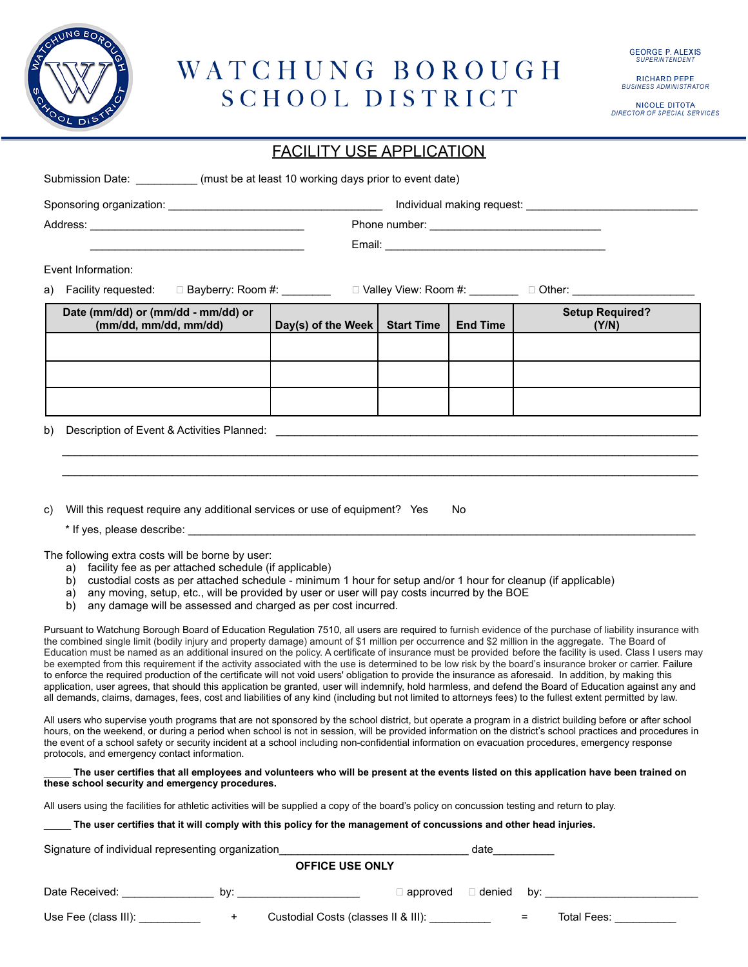

#### WATCHUNG BOROUGH SCHOOL DISTRICT

RICHARD PEPE<br>BUSINESS ADMINISTRATOR

NICOLE DITOTA<br>DIRECTOR OF SPECIAL SERVICES

| Submission Date: __________(must be at least 10 working days prior to event date)                                                                                                                                                                                                                                                                                                                                                                                                                                                                                                                                                                                                                                                                                                                                                                                                                                                                                                                                                                                                                                              |                                                 |                   |                               |                                                  |
|--------------------------------------------------------------------------------------------------------------------------------------------------------------------------------------------------------------------------------------------------------------------------------------------------------------------------------------------------------------------------------------------------------------------------------------------------------------------------------------------------------------------------------------------------------------------------------------------------------------------------------------------------------------------------------------------------------------------------------------------------------------------------------------------------------------------------------------------------------------------------------------------------------------------------------------------------------------------------------------------------------------------------------------------------------------------------------------------------------------------------------|-------------------------------------------------|-------------------|-------------------------------|--------------------------------------------------|
|                                                                                                                                                                                                                                                                                                                                                                                                                                                                                                                                                                                                                                                                                                                                                                                                                                                                                                                                                                                                                                                                                                                                |                                                 |                   |                               |                                                  |
|                                                                                                                                                                                                                                                                                                                                                                                                                                                                                                                                                                                                                                                                                                                                                                                                                                                                                                                                                                                                                                                                                                                                |                                                 |                   |                               |                                                  |
|                                                                                                                                                                                                                                                                                                                                                                                                                                                                                                                                                                                                                                                                                                                                                                                                                                                                                                                                                                                                                                                                                                                                |                                                 |                   |                               |                                                  |
| Event Information:                                                                                                                                                                                                                                                                                                                                                                                                                                                                                                                                                                                                                                                                                                                                                                                                                                                                                                                                                                                                                                                                                                             |                                                 |                   |                               |                                                  |
| Facility requested: $\square$ Bayberry: Room #: $\square$ Valley View: Room #: $\square$ $\square$ Other: $\square$ $\square$<br>a)                                                                                                                                                                                                                                                                                                                                                                                                                                                                                                                                                                                                                                                                                                                                                                                                                                                                                                                                                                                            |                                                 |                   |                               |                                                  |
| Date (mm/dd) or (mm/dd - mm/dd) or                                                                                                                                                                                                                                                                                                                                                                                                                                                                                                                                                                                                                                                                                                                                                                                                                                                                                                                                                                                                                                                                                             |                                                 |                   |                               | <b>Setup Required?</b>                           |
| (mm/dd, mm/dd, mm/dd)                                                                                                                                                                                                                                                                                                                                                                                                                                                                                                                                                                                                                                                                                                                                                                                                                                                                                                                                                                                                                                                                                                          | Day(s) of the Week $ $                          | <b>Start Time</b> | <b>End Time</b>               | (Y/N)                                            |
|                                                                                                                                                                                                                                                                                                                                                                                                                                                                                                                                                                                                                                                                                                                                                                                                                                                                                                                                                                                                                                                                                                                                |                                                 |                   |                               |                                                  |
|                                                                                                                                                                                                                                                                                                                                                                                                                                                                                                                                                                                                                                                                                                                                                                                                                                                                                                                                                                                                                                                                                                                                |                                                 |                   |                               |                                                  |
|                                                                                                                                                                                                                                                                                                                                                                                                                                                                                                                                                                                                                                                                                                                                                                                                                                                                                                                                                                                                                                                                                                                                |                                                 |                   |                               |                                                  |
|                                                                                                                                                                                                                                                                                                                                                                                                                                                                                                                                                                                                                                                                                                                                                                                                                                                                                                                                                                                                                                                                                                                                |                                                 |                   |                               |                                                  |
| Description of Event & Activities Planned: New York 2014 19:30 AM ACTIVITY AND THE SERVICE OF STRAIN AND THE STRAIN OF STRAIN AND THE STRAIN STRAIN ASSEMBLY ASSEMBLY ASSEMBLY ASSEMBLY ASSEMBLY ASSEMBLY ASSEMBLY ASSEMBLY AS<br>b)                                                                                                                                                                                                                                                                                                                                                                                                                                                                                                                                                                                                                                                                                                                                                                                                                                                                                           |                                                 |                   |                               |                                                  |
|                                                                                                                                                                                                                                                                                                                                                                                                                                                                                                                                                                                                                                                                                                                                                                                                                                                                                                                                                                                                                                                                                                                                |                                                 |                   |                               |                                                  |
|                                                                                                                                                                                                                                                                                                                                                                                                                                                                                                                                                                                                                                                                                                                                                                                                                                                                                                                                                                                                                                                                                                                                |                                                 |                   |                               |                                                  |
|                                                                                                                                                                                                                                                                                                                                                                                                                                                                                                                                                                                                                                                                                                                                                                                                                                                                                                                                                                                                                                                                                                                                |                                                 |                   |                               |                                                  |
| Will this request require any additional services or use of equipment? Yes<br>C)                                                                                                                                                                                                                                                                                                                                                                                                                                                                                                                                                                                                                                                                                                                                                                                                                                                                                                                                                                                                                                               |                                                 |                   | No.                           |                                                  |
|                                                                                                                                                                                                                                                                                                                                                                                                                                                                                                                                                                                                                                                                                                                                                                                                                                                                                                                                                                                                                                                                                                                                |                                                 |                   |                               |                                                  |
| The following extra costs will be borne by user:<br>a) facility fee as per attached schedule (if applicable)<br>b) custodial costs as per attached schedule - minimum 1 hour for setup and/or 1 hour for cleanup (if applicable)<br>any moving, setup, etc., will be provided by user or user will pay costs incurred by the BOE<br>a)<br>any damage will be assessed and charged as per cost incurred.<br>b)                                                                                                                                                                                                                                                                                                                                                                                                                                                                                                                                                                                                                                                                                                                  |                                                 |                   |                               |                                                  |
| Pursuant to Watchung Borough Board of Education Regulation 7510, all users are required to furnish evidence of the purchase of liability insurance with<br>the combined single limit (bodily injury and property damage) amount of \$1 million per occurrence and \$2 million in the aggregate. The Board of<br>Education must be named as an additional insured on the policy. A certificate of insurance must be provided before the facility is used. Class I users may<br>be exempted from this requirement if the activity associated with the use is determined to be low risk by the board's insurance broker or carrier. Failure<br>to enforce the required production of the certificate will not void users' obligation to provide the insurance as aforesaid. In addition, by making this<br>application, user agrees, that should this application be granted, user will indemnify, hold harmless, and defend the Board of Education against any and<br>all demands, claims, damages, fees, cost and liabilities of any kind (including but not limited to attorneys fees) to the fullest extent permitted by law. |                                                 |                   |                               |                                                  |
| All users who supervise youth programs that are not sponsored by the school district, but operate a program in a district building before or after school<br>hours, on the weekend, or during a period when school is not in session, will be provided information on the district's school practices and procedures in<br>the event of a school safety or security incident at a school including non-confidential information on evacuation procedures, emergency response<br>protocols, and emergency contact information.                                                                                                                                                                                                                                                                                                                                                                                                                                                                                                                                                                                                  |                                                 |                   |                               |                                                  |
| The user certifies that all employees and volunteers who will be present at the events listed on this application have been trained on<br>these school security and emergency procedures.                                                                                                                                                                                                                                                                                                                                                                                                                                                                                                                                                                                                                                                                                                                                                                                                                                                                                                                                      |                                                 |                   |                               |                                                  |
| All users using the facilities for athletic activities will be supplied a copy of the board's policy on concussion testing and return to play.                                                                                                                                                                                                                                                                                                                                                                                                                                                                                                                                                                                                                                                                                                                                                                                                                                                                                                                                                                                 |                                                 |                   |                               |                                                  |
| The user certifies that it will comply with this policy for the management of concussions and other head injuries.                                                                                                                                                                                                                                                                                                                                                                                                                                                                                                                                                                                                                                                                                                                                                                                                                                                                                                                                                                                                             |                                                 |                   |                               |                                                  |
| Signature of individual representing organization example and a set of the date date date                                                                                                                                                                                                                                                                                                                                                                                                                                                                                                                                                                                                                                                                                                                                                                                                                                                                                                                                                                                                                                      |                                                 |                   |                               |                                                  |
| <b>OFFICE USE ONLY</b>                                                                                                                                                                                                                                                                                                                                                                                                                                                                                                                                                                                                                                                                                                                                                                                                                                                                                                                                                                                                                                                                                                         |                                                 |                   |                               |                                                  |
|                                                                                                                                                                                                                                                                                                                                                                                                                                                                                                                                                                                                                                                                                                                                                                                                                                                                                                                                                                                                                                                                                                                                |                                                 |                   | $\Box$ approved $\Box$ denied |                                                  |
| Use Fee (class III): ___________<br>$+$ $-$                                                                                                                                                                                                                                                                                                                                                                                                                                                                                                                                                                                                                                                                                                                                                                                                                                                                                                                                                                                                                                                                                    | Custodial Costs (classes II & III): ___________ |                   |                               | Total Fees: <u>_______________</u><br>$=$ $\sim$ |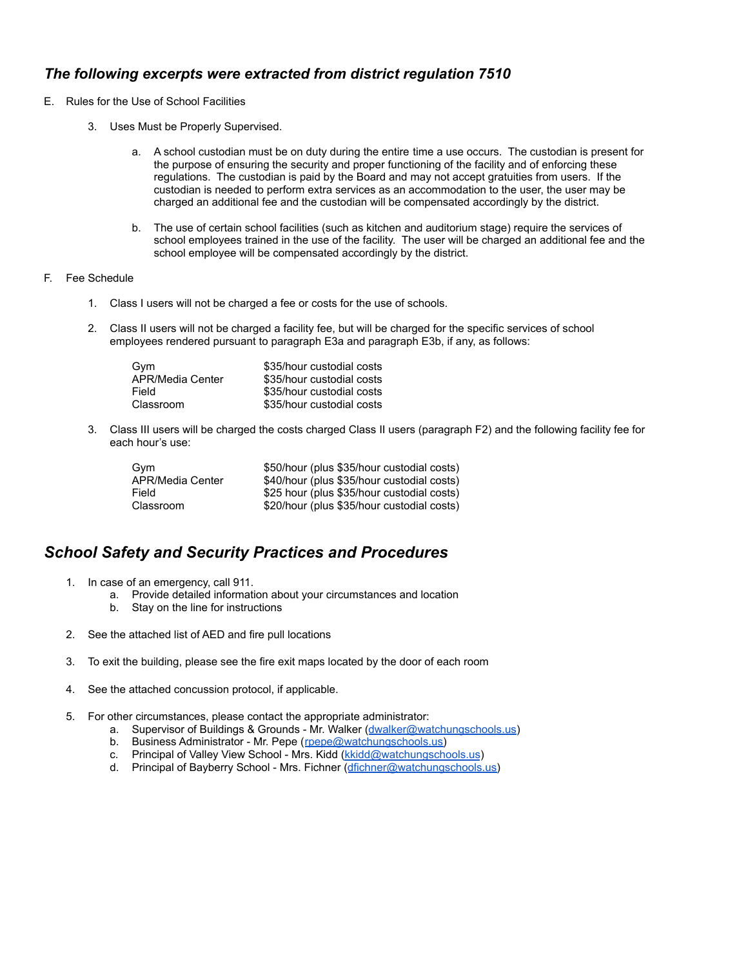#### *The following excerpts were extracted from district regulation 7510*

- E. Rules for the Use of School Facilities
	- 3. Uses Must be Properly Supervised.
		- a. A school custodian must be on duty during the entire time a use occurs. The custodian is present for the purpose of ensuring the security and proper functioning of the facility and of enforcing these regulations. The custodian is paid by the Board and may not accept gratuities from users. If the custodian is needed to perform extra services as an accommodation to the user, the user may be charged an additional fee and the custodian will be compensated accordingly by the district.
		- b. The use of certain school facilities (such as kitchen and auditorium stage) require the services of school employees trained in the use of the facility. The user will be charged an additional fee and the school employee will be compensated accordingly by the district.
- F. Fee Schedule
	- 1. Class I users will not be charged a fee or costs for the use of schools.
	- 2. Class II users will not be charged a facility fee, but will be charged for the specific services of school employees rendered pursuant to paragraph E3a and paragraph E3b, if any, as follows:

| Gvm              | \$35/hour custodial costs |
|------------------|---------------------------|
| APR/Media Center | \$35/hour custodial costs |
| Field            | \$35/hour custodial costs |
| Classroom        | \$35/hour custodial costs |

3. Class III users will be charged the costs charged Class II users (paragraph F2) and the following facility fee for each hour's use:

| Gvm              | \$50/hour (plus \$35/hour custodial costs) |
|------------------|--------------------------------------------|
| APR/Media Center | \$40/hour (plus \$35/hour custodial costs) |
| Field            | \$25 hour (plus \$35/hour custodial costs) |
| Classroom        | \$20/hour (plus \$35/hour custodial costs) |

#### *School Safety and Security Practices and Procedures*

- 1. In case of an emergency, call 911.
	- a. Provide detailed information about your circumstances and location
	- b. Stay on the line for instructions
- 2. See the attached list of AED and fire pull locations
- 3. To exit the building, please see the fire exit maps located by the door of each room
- 4. See the attached concussion protocol, if applicable.
- 5. For other circumstances, please contact the appropriate administrator:
	- a. Supervisor of Buildings & Grounds Mr. Walker ([dwalker@watchungschools.us\)](mailto:dwalker@watchungschools.us)
	- b. Business Administrator Mr. Pepe ([rpepe@watchungschools.us\)](mailto:rpepe@watchungschools.us)
	- c. Principal of Valley View School Mrs. Kidd (*kkidd@watchungschools.us*)
	- d. Principal of Bayberry School Mrs. Fichner ([dfichner@watchungschools.us\)](mailto:dfichner@watchungschools.us)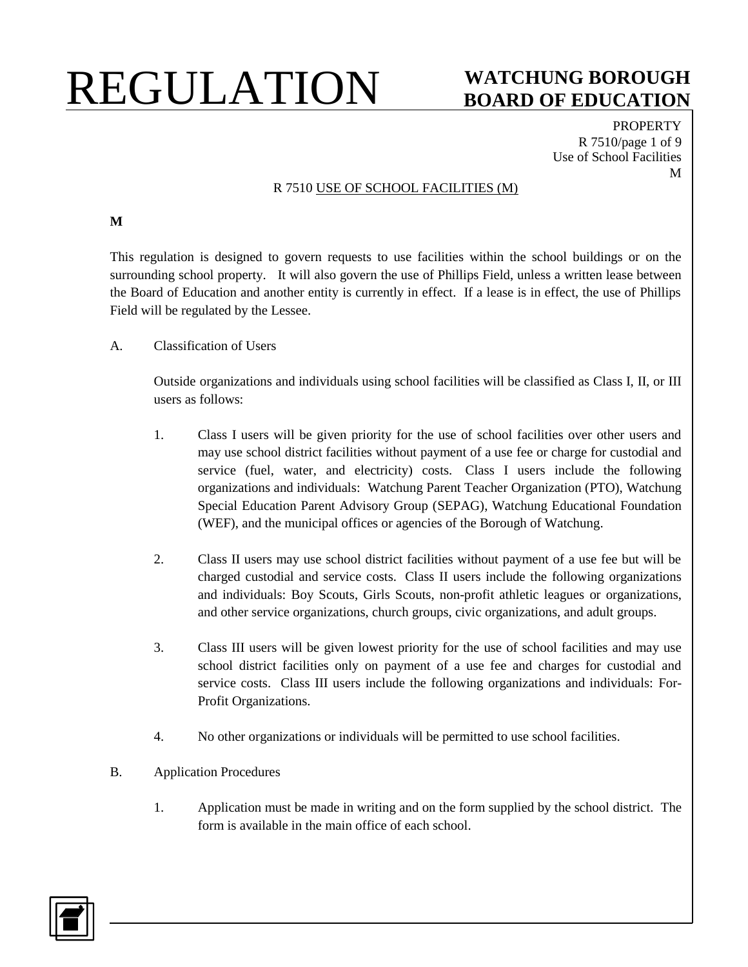#### **BOARD OF EDUCATION**

**PROPERTY** R 7510/page 1 of 9 Use of School Facilities M

#### R 7510 USE OF SCHOOL FACILITIES (M)

**M**

This regulation is designed to govern requests to use facilities within the school buildings or on the surrounding school property. It will also govern the use of Phillips Field, unless a written lease between the Board of Education and another entity is currently in effect. If a lease is in effect, the use of Phillips Field will be regulated by the Lessee.

A. Classification of Users

Outside organizations and individuals using school facilities will be classified as Class I, II, or III users as follows:

- 1. Class I users will be given priority for the use of school facilities over other users and may use school district facilities without payment of a use fee or charge for custodial and service (fuel, water, and electricity) costs. Class I users include the following organizations and individuals: Watchung Parent Teacher Organization (PTO), Watchung Special Education Parent Advisory Group (SEPAG), Watchung Educational Foundation (WEF), and the municipal offices or agencies of the Borough of Watchung.
- 2. Class II users may use school district facilities without payment of a use fee but will be charged custodial and service costs. Class II users include the following organizations and individuals: Boy Scouts, Girls Scouts, non-profit athletic leagues or organizations, and other service organizations, church groups, civic organizations, and adult groups.
- 3. Class III users will be given lowest priority for the use of school facilities and may use school district facilities only on payment of a use fee and charges for custodial and service costs. Class III users include the following organizations and individuals: For-Profit Organizations.
- 4. No other organizations or individuals will be permitted to use school facilities.
- B. Application Procedures
	- 1. Application must be made in writing and on the form supplied by the school district. The form is available in the main office of each school.

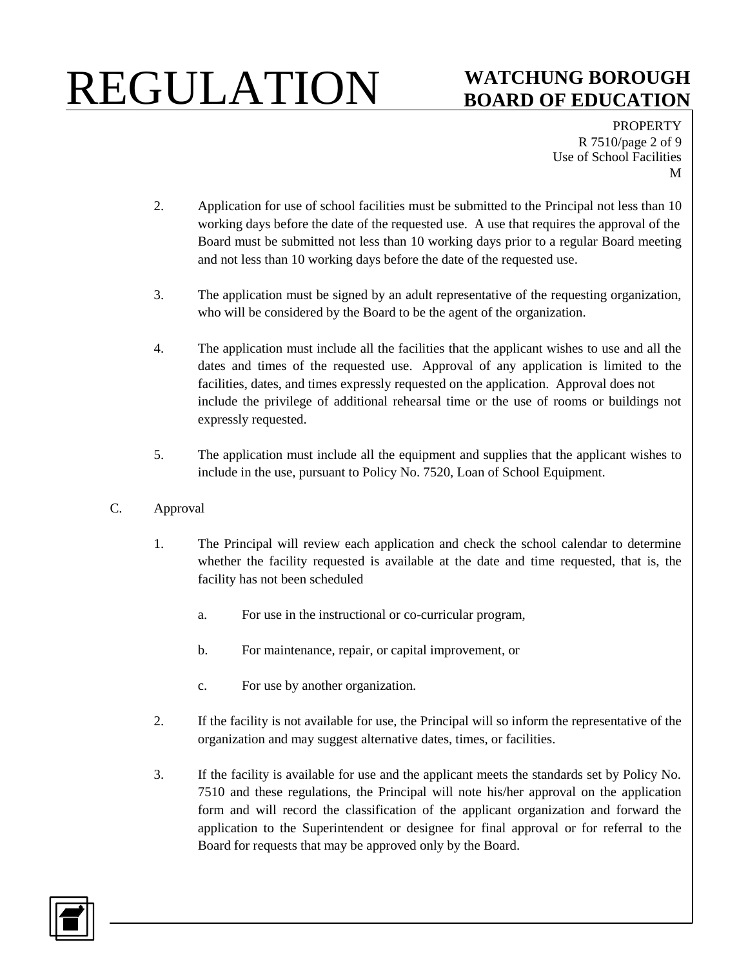## **BOARD OF EDUCATION**

PROPERTY R 7510/page 2 of 9 Use of School Facilities M

- 2. Application for use of school facilities must be submitted to the Principal not less than 10 working days before the date of the requested use. A use that requires the approval of the Board must be submitted not less than 10 working days prior to a regular Board meeting and not less than 10 working days before the date of the requested use.
- 3. The application must be signed by an adult representative of the requesting organization, who will be considered by the Board to be the agent of the organization.
- 4. The application must include all the facilities that the applicant wishes to use and all the dates and times of the requested use. Approval of any application is limited to the facilities, dates, and times expressly requested on the application. Approval does not include the privilege of additional rehearsal time or the use of rooms or buildings not expressly requested.
- 5. The application must include all the equipment and supplies that the applicant wishes to include in the use, pursuant to Policy No. 7520, Loan of School Equipment.
- C. Approval
	- 1. The Principal will review each application and check the school calendar to determine whether the facility requested is available at the date and time requested, that is, the facility has not been scheduled
		- a. For use in the instructional or co-curricular program,
		- b. For maintenance, repair, or capital improvement, or
		- c. For use by another organization.
	- 2. If the facility is not available for use, the Principal will so inform the representative of the organization and may suggest alternative dates, times, or facilities.
	- 3. If the facility is available for use and the applicant meets the standards set by Policy No. 7510 and these regulations, the Principal will note his/her approval on the application form and will record the classification of the applicant organization and forward the application to the Superintendent or designee for final approval or for referral to the Board for requests that may be approved only by the Board.

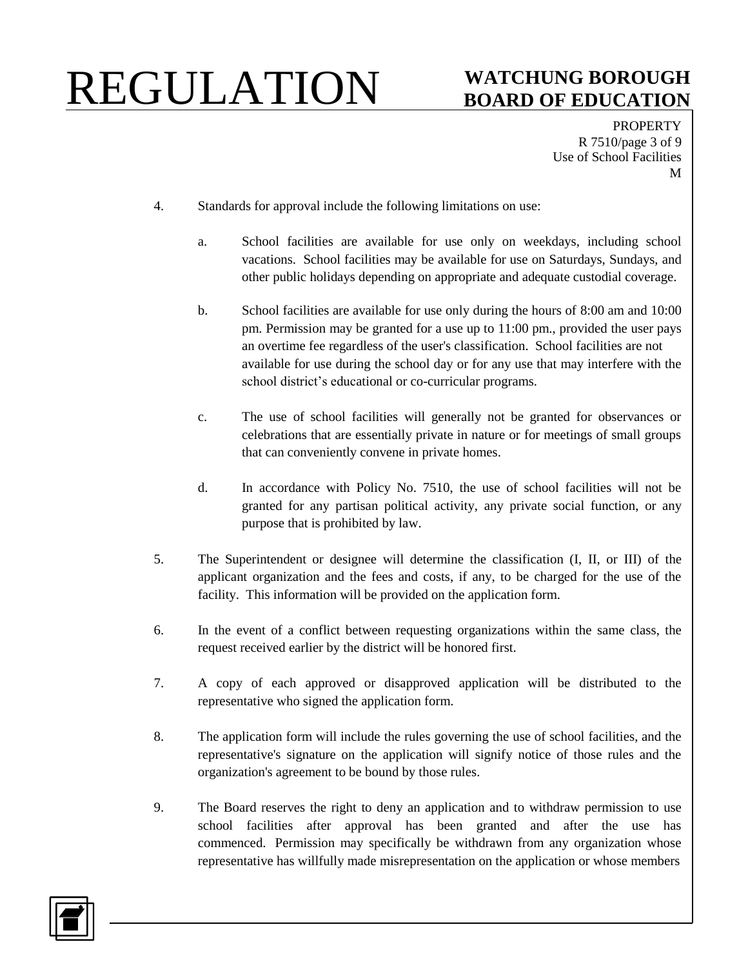## **BOARD OF EDUCATION**

**PROPERTY** R 7510/page 3 of 9 Use of School Facilities M

- 4. Standards for approval include the following limitations on use:
	- a. School facilities are available for use only on weekdays, including school vacations. School facilities may be available for use on Saturdays, Sundays, and other public holidays depending on appropriate and adequate custodial coverage.
	- b. School facilities are available for use only during the hours of 8:00 am and 10:00 pm. Permission may be granted for a use up to 11:00 pm., provided the user pays an overtime fee regardless of the user's classification. School facilities are not available for use during the school day or for any use that may interfere with the school district's educational or co-curricular programs.
	- c. The use of school facilities will generally not be granted for observances or celebrations that are essentially private in nature or for meetings of small groups that can conveniently convene in private homes.
	- d. In accordance with Policy No. 7510, the use of school facilities will not be granted for any partisan political activity, any private social function, or any purpose that is prohibited by law.
- 5. The Superintendent or designee will determine the classification (I, II, or III) of the applicant organization and the fees and costs, if any, to be charged for the use of the facility. This information will be provided on the application form.
- 6. In the event of a conflict between requesting organizations within the same class, the request received earlier by the district will be honored first.
- 7. A copy of each approved or disapproved application will be distributed to the representative who signed the application form.
- 8. The application form will include the rules governing the use of school facilities, and the representative's signature on the application will signify notice of those rules and the organization's agreement to be bound by those rules.
- 9. The Board reserves the right to deny an application and to withdraw permission to use school facilities after approval has been granted and after the use has commenced. Permission may specifically be withdrawn from any organization whose representative has willfully made misrepresentation on the application or whose members

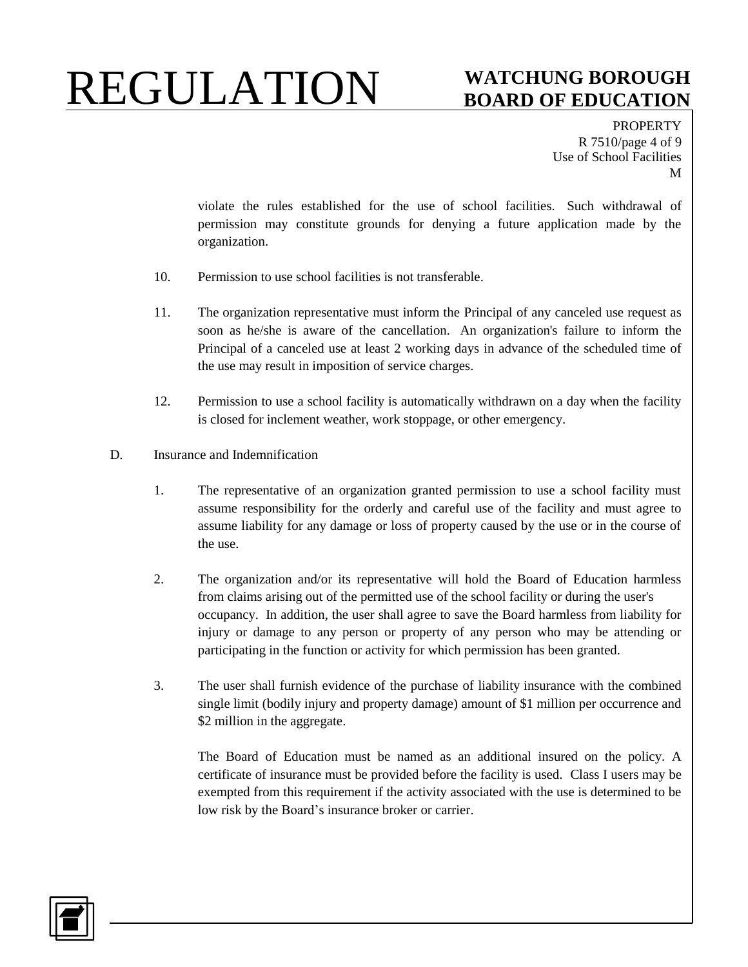## **BOARD OF EDUCATION**

**PROPERTY** R 7510/page 4 of 9 Use of School Facilities M

violate the rules established for the use of school facilities. Such withdrawal of permission may constitute grounds for denying a future application made by the organization.

- 10. Permission to use school facilities is not transferable.
- 11. The organization representative must inform the Principal of any canceled use request as soon as he/she is aware of the cancellation. An organization's failure to inform the Principal of a canceled use at least 2 working days in advance of the scheduled time of the use may result in imposition of service charges.
- 12. Permission to use a school facility is automatically withdrawn on a day when the facility is closed for inclement weather, work stoppage, or other emergency.
- D. Insurance and Indemnification
	- 1. The representative of an organization granted permission to use a school facility must assume responsibility for the orderly and careful use of the facility and must agree to assume liability for any damage or loss of property caused by the use or in the course of the use.
	- 2. The organization and/or its representative will hold the Board of Education harmless from claims arising out of the permitted use of the school facility or during the user's occupancy. In addition, the user shall agree to save the Board harmless from liability for injury or damage to any person or property of any person who may be attending or participating in the function or activity for which permission has been granted.
	- 3. The user shall furnish evidence of the purchase of liability insurance with the combined single limit (bodily injury and property damage) amount of \$1 million per occurrence and \$2 million in the aggregate.

The Board of Education must be named as an additional insured on the policy. A certificate of insurance must be provided before the facility is used. Class I users may be exempted from this requirement if the activity associated with the use is determined to be low risk by the Board's insurance broker or carrier.

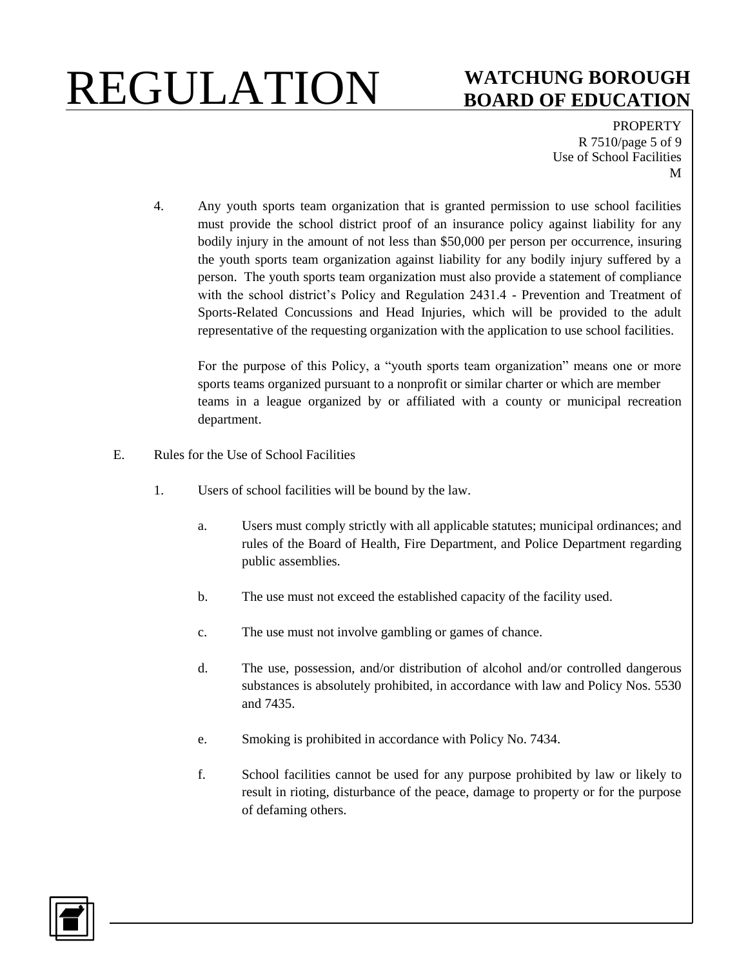### **BOARD OF EDUCATION**

PROPERTY R 7510/page 5 of 9 Use of School Facilities M

4. Any youth sports team organization that is granted permission to use school facilities must provide the school district proof of an insurance policy against liability for any bodily injury in the amount of not less than \$50,000 per person per occurrence, insuring the youth sports team organization against liability for any bodily injury suffered by a person. The youth sports team organization must also provide a statement of compliance with the school district's Policy and Regulation 2431.4 - Prevention and Treatment of Sports-Related Concussions and Head Injuries, which will be provided to the adult representative of the requesting organization with the application to use school facilities.

For the purpose of this Policy, a "youth sports team organization" means one or more sports teams organized pursuant to a nonprofit or similar charter or which are member teams in a league organized by or affiliated with a county or municipal recreation department.

- E. Rules for the Use of School Facilities
	- 1. Users of school facilities will be bound by the law.
		- a. Users must comply strictly with all applicable statutes; municipal ordinances; and rules of the Board of Health, Fire Department, and Police Department regarding public assemblies.
		- b. The use must not exceed the established capacity of the facility used.
		- c. The use must not involve gambling or games of chance.
		- d. The use, possession, and/or distribution of alcohol and/or controlled dangerous substances is absolutely prohibited, in accordance with law and Policy Nos. 5530 and 7435.
		- e. Smoking is prohibited in accordance with Policy No. 7434.
		- f. School facilities cannot be used for any purpose prohibited by law or likely to result in rioting, disturbance of the peace, damage to property or for the purpose of defaming others.

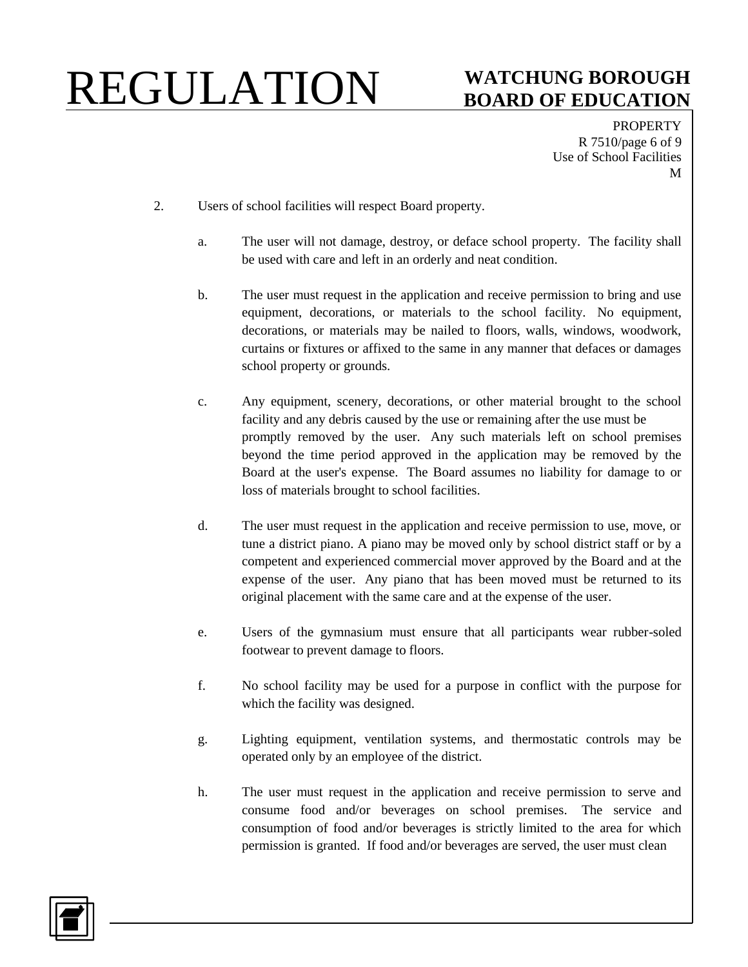### **BOARD OF EDUCATION**

**PROPERTY** R 7510/page 6 of 9 Use of School Facilities M

- 2. Users of school facilities will respect Board property.
	- a. The user will not damage, destroy, or deface school property. The facility shall be used with care and left in an orderly and neat condition.
	- b. The user must request in the application and receive permission to bring and use equipment, decorations, or materials to the school facility. No equipment, decorations, or materials may be nailed to floors, walls, windows, woodwork, curtains or fixtures or affixed to the same in any manner that defaces or damages school property or grounds.
	- c. Any equipment, scenery, decorations, or other material brought to the school facility and any debris caused by the use or remaining after the use must be promptly removed by the user. Any such materials left on school premises beyond the time period approved in the application may be removed by the Board at the user's expense. The Board assumes no liability for damage to or loss of materials brought to school facilities.
	- d. The user must request in the application and receive permission to use, move, or tune a district piano. A piano may be moved only by school district staff or by a competent and experienced commercial mover approved by the Board and at the expense of the user. Any piano that has been moved must be returned to its original placement with the same care and at the expense of the user.
	- e. Users of the gymnasium must ensure that all participants wear rubber-soled footwear to prevent damage to floors.
	- f. No school facility may be used for a purpose in conflict with the purpose for which the facility was designed.
	- g. Lighting equipment, ventilation systems, and thermostatic controls may be operated only by an employee of the district.
	- h. The user must request in the application and receive permission to serve and consume food and/or beverages on school premises. The service and consumption of food and/or beverages is strictly limited to the area for which permission is granted. If food and/or beverages are served, the user must clean

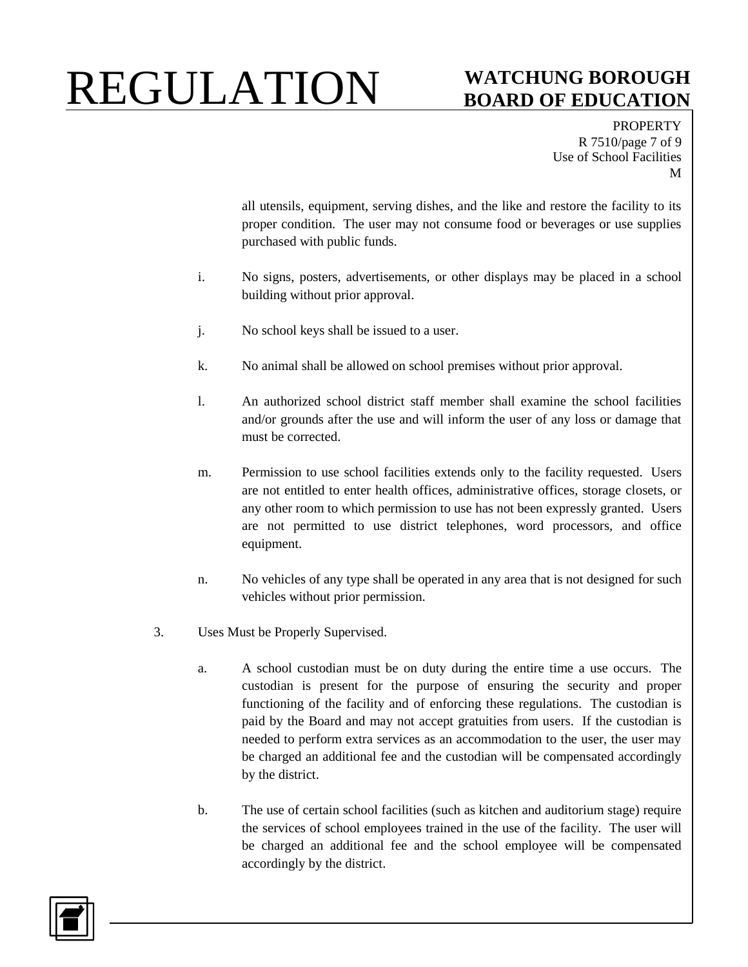## **BOARD OF EDUCATION**

PROPERTY R 7510/page 7 of 9 Use of School Facilities M

all utensils, equipment, serving dishes, and the like and restore the facility to its proper condition. The user may not consume food or beverages or use supplies purchased with public funds.

- i. No signs, posters, advertisements, or other displays may be placed in a school building without prior approval.
- j. No school keys shall be issued to a user.
- k. No animal shall be allowed on school premises without prior approval.
- l. An authorized school district staff member shall examine the school facilities and/or grounds after the use and will inform the user of any loss or damage that must be corrected.
- m. Permission to use school facilities extends only to the facility requested. Users are not entitled to enter health offices, administrative offices, storage closets, or any other room to which permission to use has not been expressly granted. Users are not permitted to use district telephones, word processors, and office equipment.
- n. No vehicles of any type shall be operated in any area that is not designed for such vehicles without prior permission.
- 3. Uses Must be Properly Supervised.
	- a. A school custodian must be on duty during the entire time a use occurs. The custodian is present for the purpose of ensuring the security and proper functioning of the facility and of enforcing these regulations. The custodian is paid by the Board and may not accept gratuities from users. If the custodian is needed to perform extra services as an accommodation to the user, the user may be charged an additional fee and the custodian will be compensated accordingly by the district.
	- b. The use of certain school facilities (such as kitchen and auditorium stage) require the services of school employees trained in the use of the facility. The user will be charged an additional fee and the school employee will be compensated accordingly by the district.

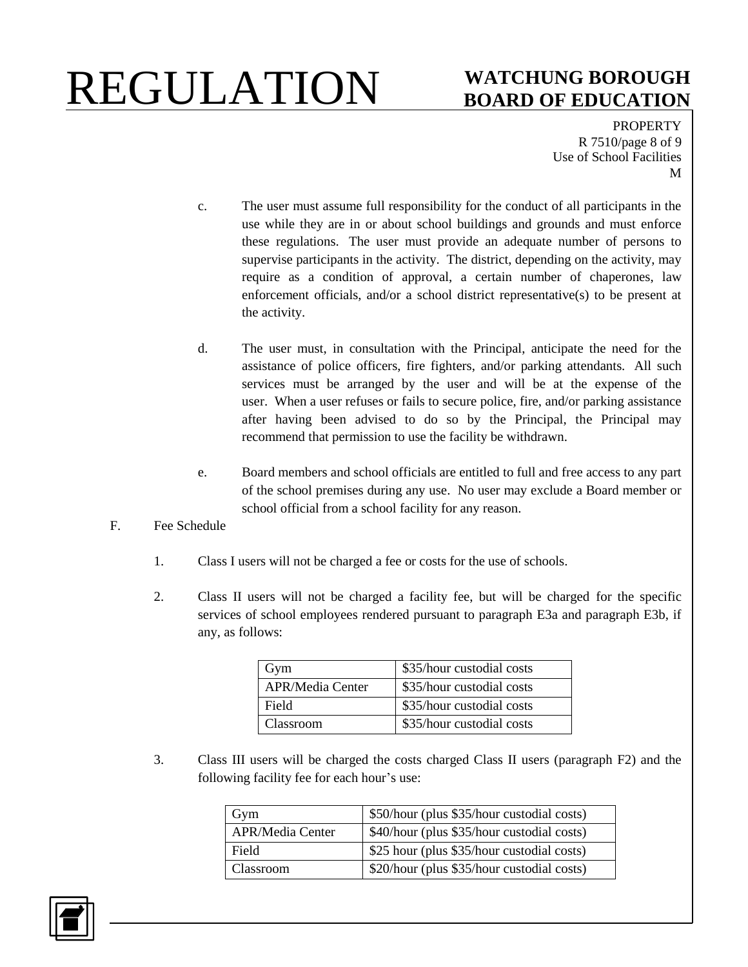## **BOARD OF EDUCATION**

PROPERTY R 7510/page 8 of 9 Use of School Facilities M

- c. The user must assume full responsibility for the conduct of all participants in the use while they are in or about school buildings and grounds and must enforce these regulations. The user must provide an adequate number of persons to supervise participants in the activity. The district, depending on the activity, may require as a condition of approval, a certain number of chaperones, law enforcement officials, and/or a school district representative(s) to be present at the activity.
- d. The user must, in consultation with the Principal, anticipate the need for the assistance of police officers, fire fighters, and/or parking attendants. All such services must be arranged by the user and will be at the expense of the user. When a user refuses or fails to secure police, fire, and/or parking assistance after having been advised to do so by the Principal, the Principal may recommend that permission to use the facility be withdrawn.
- e. Board members and school officials are entitled to full and free access to any part of the school premises during any use. No user may exclude a Board member or school official from a school facility for any reason.
- F. Fee Schedule
	- 1. Class I users will not be charged a fee or costs for the use of schools.
	- 2. Class II users will not be charged a facility fee, but will be charged for the specific services of school employees rendered pursuant to paragraph E3a and paragraph E3b, if any, as follows:

| Gym                     | \$35/hour custodial costs |
|-------------------------|---------------------------|
| <b>APR/Media Center</b> | \$35/hour custodial costs |
| Field                   | \$35/hour custodial costs |
| Classroom               | \$35/hour custodial costs |

3. Class III users will be charged the costs charged Class II users (paragraph F2) and the following facility fee for each hour's use:

| Gym                     | \$50/hour (plus \$35/hour custodial costs) |
|-------------------------|--------------------------------------------|
| <b>APR/Media Center</b> | \$40/hour (plus \$35/hour custodial costs) |
| Field                   | \$25 hour (plus \$35/hour custodial costs) |
| Classroom               | \$20/hour (plus \$35/hour custodial costs) |